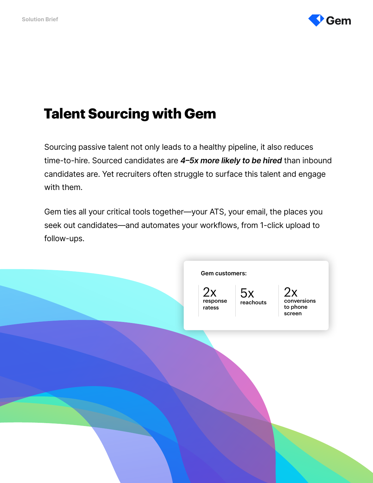

# **Talent Sourcing with Gem**

Sourcing passive talent not only leads to a healthy pipeline, it also reduces time-to-hire. Sourced candidates are 4-5x more likely to be hired than inbound candidates are. Yet recruiters often struggle to surface this talent and engage with them.

Gem ties all your critical tools together—your ATS, your email, the places you seek out candidates—and automates your workflows, from 1-click upload to follow-ups.

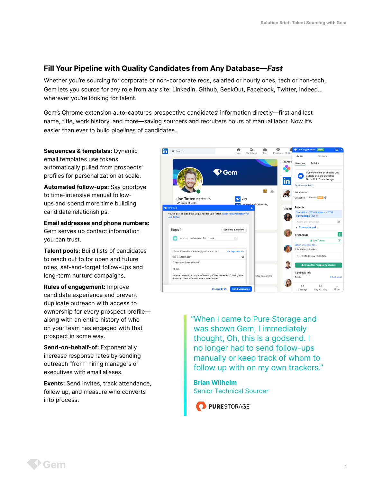# Fill Your Pipeline with Quality Candidates from Any Database—Fast

Whether you're sourcing for corporate or non-corporate reqs, salaried or hourly ones, tech or non-tech, Gem lets you source for any role from any site: LinkedIn, Github, SeekOut, Facebook, Twitter, Indeed... wherever you're looking for talent.

Gem's Chrome extension auto-captures prospective candidates' information directly—first and last name, title, work history, and more—saving sourcers and recruiters hours of manual labor. Now it's easier than ever to build pipelines of candidates.

Sequences & templates: Dynamic email templates use tokens automatically pulled from prospects' profiles for personalization at scale.

Automated follow-ups: Say goodbye to time-intensive manual followups and spend more time building candidate relationships.

Email addresses and phone numbers: Gem serves up contact information you can trust.

Talent pools: Build lists of candidates to reach out to for open and future roles, set-and-forget follow-ups and long-term nurture campaigns.

Rules of engagement: Improve candidate experience and prevent duplicate outreach with access to ownership for every prospect profile along with an entire history of who on your team has engaged with that prospect in some way.

Send-on-behalf-of: Exponentially increase response rates by sending outreach "from" hiring managers or executives with email aliases.

Events: Send invites, track attendance, follow up, and measure who converts into process.



"When I came to Pure Storage and was shown Gem, I immediately thought, Oh, this is a godsend. I no longer had to send follow-ups manually or keep track of whom to follow up with on my own trackers."

Brian Wilhelm Senior Technical Sourcer

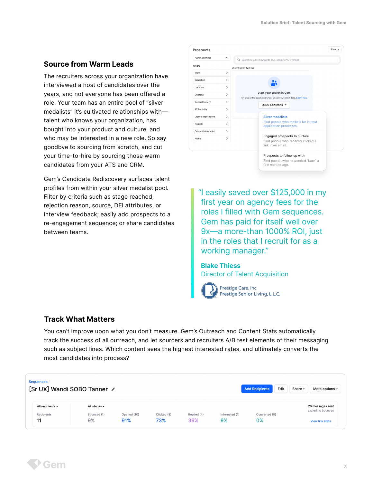### Source from Warm Leads

The recruiters across your organization have interviewed a host of candidates over the years, and not everyone has been offered a role. Your team has an entire pool of "silver medalists" it's cultivated relationships with talent who knows your organization, has bought into your product and culture, and who may be interested in a new role. So say goodbye to sourcing from scratch, and cut your time-to-hire by sourcing those warm candidates from your ATS and CRM.

Gem's Candidate Rediscovery surfaces talent profiles from within your silver medalist pool. Filter by criteria such as stage reached, rejection reason, source, DEI attributes, or interview feedback; easily add prospects to a re-engagement sequence; or share candidates between teams.

| Prospects                  |               | Share                                                                                         |
|----------------------------|---------------|-----------------------------------------------------------------------------------------------|
| Quick searches             | ٠             | Q. Search resume keywords (e.g. senior AND python)                                            |
| <b>Filters</b>             |               | Showing 0 of 123,456                                                                          |
| Work                       | $\rightarrow$ |                                                                                               |
| Education                  | $\rightarrow$ |                                                                                               |
| Location                   | $\rightarrow$ |                                                                                               |
| Diversity                  | $\rightarrow$ | Start your search in Gem<br>Try one of the quick searches, or set your own filters. Learn how |
| Contact history            | $\rightarrow$ | Quick Searches $\blacktriangleright$                                                          |
| ATS activity               | $\rightarrow$ |                                                                                               |
| <b>Closed applications</b> | $\rightarrow$ | <b>Silver medalists</b>                                                                       |
| Projects                   | $\rightarrow$ | Find people who made it far in past<br>application processes.                                 |
| Contact information        | $\rightarrow$ |                                                                                               |
| Profile                    | $\rightarrow$ | Engaged prospects to nurture<br>Find people who recently clicked a<br>link in an email.       |
|                            |               | Prospects to follow up with<br>Find people who responded "later" a<br>few months ago.         |

"I easily saved over \$125,000 in my first year on agency fees for the roles I filled with Gem sequences. Gem has paid for itself well over 9x—a more-than 1000% ROI, just in the roles that I recruit for as a working manager."

Blake Thiess Director of Talent Acquisition



Prestige Care, Inc. Prestige Senior Living, L.L.C.

## Track What Matters

You can't improve upon what you don't measure. Gem's Outreach and Content Stats automatically track the success of all outreach, and let sourcers and recruiters A/B test elements of their messaging such as subject lines. Which content sees the highest interested rates, and ultimately converts the most candidates into process?

| Sequences<br>[Sr UX] Wandi SOBO Tanner /<br><b>Add Recipients</b><br>Edit<br>Share $\sim$ |                                                    |                                                |             |             |             |                |               |                                       |  |
|-------------------------------------------------------------------------------------------|----------------------------------------------------|------------------------------------------------|-------------|-------------|-------------|----------------|---------------|---------------------------------------|--|
|                                                                                           | All recipients $\blacktriangleright$<br>Recipients | All stages $\blacktriangledown$<br>Bounced (1) | Opened (10) | Clicked (8) | Replied (4) | Interested (1) | Converted (0) | 26 messages sent<br>excluding bounces |  |
|                                                                                           | 11                                                 | 9%                                             | 91%         | 73%         | 36%         | 9%             | 0%            | <b>View link stats</b>                |  |